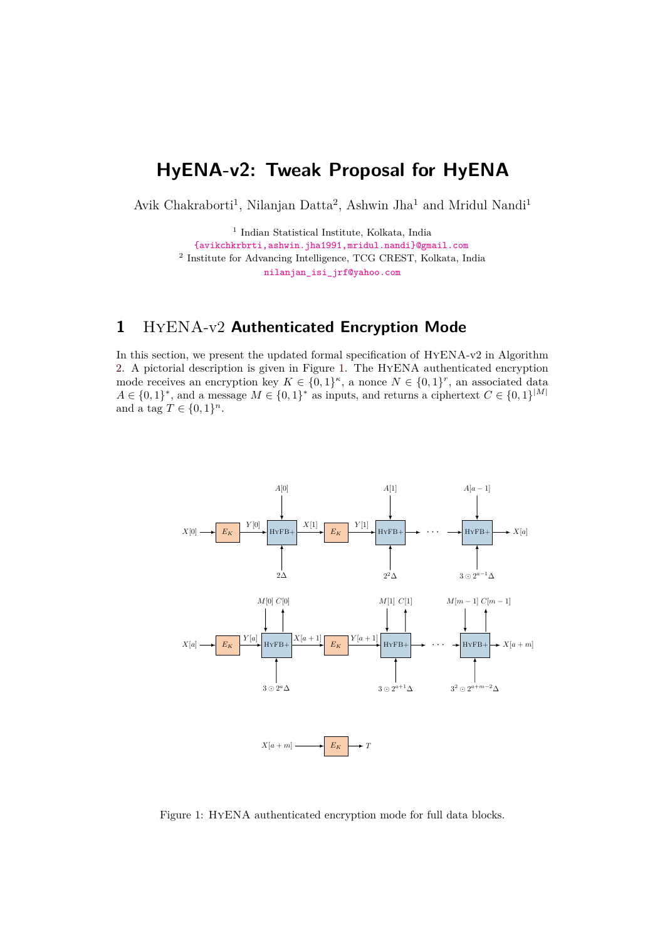# **HyENA-v2: Tweak Proposal for HyENA**

Avik Chakraborti<sup>1</sup>, Nilanjan Datta<sup>2</sup>, Ashwin Jha<sup>1</sup> and Mridul Nandi<sup>1</sup>

<sup>1</sup> Indian Statistical Institute, Kolkata, India [{avikchkrbrti,ashwin.jha1991,mridul.nandi}@gmail.com](mailto:avikchkrbrti@gmail.com,ashwin.jha1991@gmail.com,mridul.nandi@gmail.com) <sup>2</sup> Institute for Advancing Intelligence, TCG CREST, Kolkata, India [nilanjan\\_isi\\_jrf@yahoo.com](mailto:nilanjan_isi_jrf@yahoo.com)

# **1** HyENA-v2 **Authenticated Encryption Mode**

 ${0,1}^{\kappa}$ , a nonce  $N \in \{0,1\}$  $A \in \{0,1\}^*$ , and a message  $M \in \{0,1\}^*$  as inputs, and returns a ciphertext  $C \in \{0,1\}^{\mathbb{N}}$ and a tag  $T \in \{0, 1\}^n$ . In this section, we present the updated formal specifcation of HyENA-v2 in Algorithm [2.](#page-2-0) A pictorial description is given in Figure [1.](#page-0-0) The HyENA authenticated encryption mode receives an encryption key  $K \in \{0,1\}^{\kappa}$ , a nonce  $N \in \{0,1\}^r$ , an associated data  $A \in \{0,1\}^*$  and a message  $M \in \{0,1\}^*$  as inputs and returns a ciphertext  $C \in \{0,1\}^{|M|}$ 

<span id="page-0-0"></span>

Figure 1: HyENA authenticated encryption mode for full data blocks.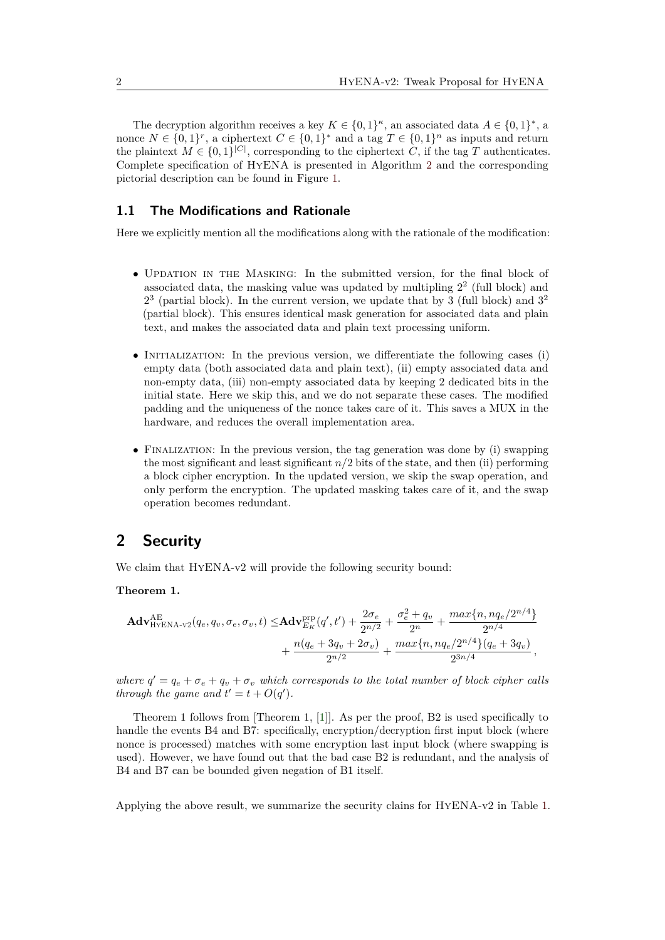The decryption algorithm receives a key  $K \in \{0,1\}^{\kappa}$ , an associated data  $A \in \{0,1\}^*$ , a nonce  $N \in \{0,1\}^r$ , a ciphertext  $C \in \{0,1\}^*$  and a tag  $T \in \{0,1\}^n$  as inputs and return the plaintext  $M \in \{0, 1\}^{|C|}$ , corresponding to the ciphertext *C*, if the tag *T* authenticates. Complete specifcation of HyENA is presented in Algorithm [2](#page-2-0) and the corresponding pictorial description can be found in Figure [1.](#page-0-0)

#### <span id="page-1-0"></span>**1.1 The Modifications and Rationale**

Here we explicitly mention all the modifcations along with the rationale of the modifcation:

- UPDATION IN THE MASKING: In the submitted version, for the final block of associated data, the masking value was updated by multipling  $2<sup>2</sup>$  (full block) and  $2<sup>3</sup>$  (partial block). In the current version, we update that by 3 (full block) and  $3<sup>2</sup>$ (partial block). This ensures identical mask generation for associated data and plain text, and makes the associated data and plain text processing uniform.
- INITIALIZATION: In the previous version, we differentiate the following cases (i) empty data (both associated data and plain text), (ii) empty associated data and non-empty data, (iii) non-empty associated data by keeping 2 dedicated bits in the initial state. Here we skip this, and we do not separate these cases. The modifed padding and the uniqueness of the nonce takes care of it. This saves a MUX in the hardware, and reduces the overall implementation area.
- FINALIZATION: In the previous version, the tag generation was done by (i) swapping the most significant and least significant  $n/2$  bits of the state, and then (ii) performing a block cipher encryption. In the updated version, we skip the swap operation, and only perform the encryption. The updated masking takes care of it, and the swap operation becomes redundant.

## **2 Security**

We claim that HYENA-v2 will provide the following security bound:

#### **Theorem 1.**

$$
\mathbf{Adv}_{\text{HYENA-V2}}^{\text{AE}}(q_e, q_v, \sigma_e, \sigma_v, t) \leq \mathbf{Adv}_{E_K}^{\text{PFP}}(q', t') + \frac{2\sigma_e}{2^{n/2}} + \frac{\sigma_e^2 + q_v}{2^n} + \frac{max\{n, nq_e/2^{n/4}\}}{2^{n/4}} + \frac{n(q_e + 3q_v + 2\sigma_v)}{2^{n/2}} + \frac{max\{n, nq_e/2^{n/4}\}(q_e + 3q_v)}{2^{3n/4}},
$$

where  $q' = q_e + \sigma_e + q_v + \sigma_v$  which corresponds to the total number of block cipher calls *through the game and*  $t' = t + O(q')$ *.* 

Theorem 1 follows from [Theorem 1, [\[1\]](#page-4-0)]. As per the proof, B2 is used specifcally to handle the events B4 and B7: specifically, encryption/decryption first input block (where nonce is processed) matches with some encryption last input block (where swapping is used). However, we have found out that the bad case B2 is redundant, and the analysis of B4 and B7 can be bounded given negation of B1 itself.

Applying the above result, we summarize the security clains for HyENA-v2 in Table [1.](#page-3-0)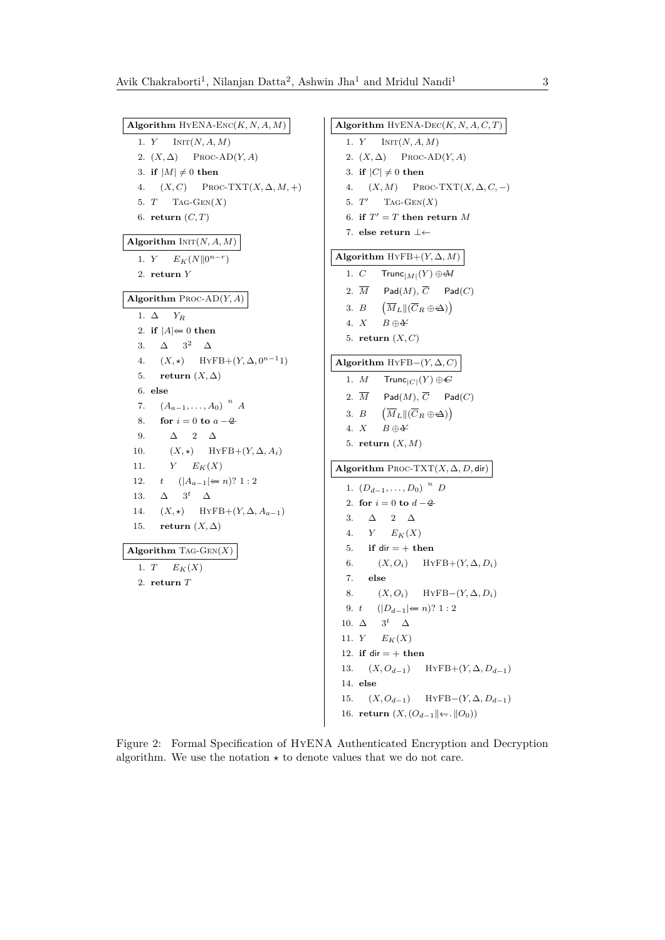<span id="page-2-0"></span>1. *Y* INIT $(N, A, M)$ 2.  $(X, \Delta)$  Proc-AD $(Y, A)$ 4.  $(X, C)$  Proc-TXT $(X, \Delta, M, +)$ 5.  $T$  TAG-GEN $(X)$ 1. *Y*  $E_K(N||0^{n-r})$ 1.  $\Delta$   $Y_R$ 3.  $\Delta$   $3^2$   $\Delta$ 4.  $(X, \star)$  HYFB+ $(Y, \Delta, 0^{n-1}1)$ 7.  $(A_{a-1}, \ldots, A_0)$ <sup>n</sup> *A* 9.  $\Delta$  2  $\Delta$ 10.  $(X, \star)$  HYFB+ $(Y, \Delta, A_i)$ 11.  $Y$   $E_K(X)$ 12. *t*  $(|A_{a-1}| \Leftarrow n$ ? 1 : 2 13.  $\Delta$  3<sup>t</sup>  $\Delta$ 14.  $(X, \star)$  HYFB+ $(Y, \Delta, A_{a-1})$ 1.  $T$   $E_K(X)$ 1.  $Y$  INIT(*N*, *A*, *M*) 2.  $(X, \Delta)$  PROC-AD $(Y, A)$ 4.  $(X, M)$  Proc-TXT $(X, \Delta, C, -)$ 5.  $T'$  TAG-GEN $(X)$ 2.  $\overline{M}$ 3.  $B$ 1.  $(D_{d-1}, \ldots, D_0)$ <sup>n</sup> *D* 3.  $\Delta$  2  $\Delta$ 4.  $Y$   $E_K(X)$ 6.  $(X, O_i)$  HYFB+ $(Y, \Delta, D_i)$ 8.  $(X, O_i)$  HYFB $-(Y, \Delta, D_i)$ 9. *t*  $(|D_{d-1}| \Leftarrow n$ ? 1 : 2 10.  $\Delta$  3<sup>t</sup>  $\Delta$ 13.  $(X, O_{d-1})$  HYFB+ $(Y, \Delta, D_{d-1})$ 15.  $(X, O_{d-1})$  HYFB- $(Y, \Delta, D_{d-1})$ **Algorithm** HYENA-ENC $(K, N, A, M)$ 3. **if**  $|M| \neq 0$  **then** 6. **return**  $(C, T)$ **Algorithm**  $INT(N, A, M)$ 2. **return** *Y* **Algorithm** Proc-AD(*Y, A*) 2. **if**  $|A| \neq 0$  **then** 5. **return**  $(X, \Delta)$ 6. **else** 8. **for**  $i = 0$  **to**  $a - 4$ 15. **return**  $(X, \Delta)$ **Algorithm** Tag-Gen(*X*) 2. **return** *T* **Algorithm** HYENA-DEC( $K, N, A, C, T$ ) 3. **if**  $|C| \neq 0$  **then** 6. **if**  $T' = T$  **then return** *M* 7. **else return**  $\bot \leftarrow$ **Algorithm** HYFB+ $(Y, \Delta, M)$ 1. *C* Trunc $|M|$ <sup>(Y</sup>)  $\oplus$  M 2.  $\overline{M}$  Pad $(M)$ ,  $\overline{C}$  Pad $(C)$ 3. *B*  $(\overline{M}_L \| (\overline{C}_R \oplus \Delta))$ 4.  $X$   $B \oplus Y$ 5. **return**  $(X, C)$ **Algorithm** HyFB $-(Y, \Delta, C)$ 1. *M*  $Trunc_{|C|}(Y) \oplus C$  $\mathsf{Pad}(M), \overline{C}$  Pad $(C)$  $\left(\overline{M}_L \right] \left(\overline{C}_R \oplus \Delta\right)$ 4.  $X$   $B \oplus Y$ 5. **return** (*X, M*) Algorithm  $\text{Proc-TXT}(X, \Delta, D, \text{dir})$ 2. **for**  $i = 0$  **to**  $d - 4$ 5. **if** dir  $= +$  **then** 7. **else** 11.  $Y$   $E_K(X)$ 12. **if**  $dir = +$  **then** 14. **else** 16. **return**  $(X, (O_{d-1} \|\leftarrow, \|O_0))$ 

Figure 2: Formal Specifcation of HyENA Authenticated Encryption and Decryption algorithm. We use the notation  $\star$  to denote values that we do not care.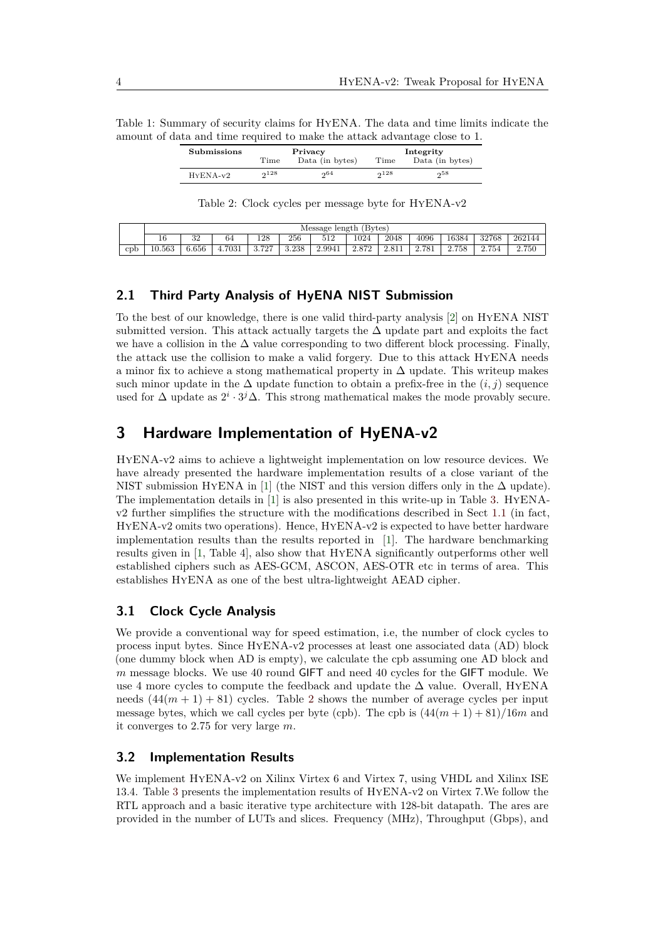<span id="page-3-0"></span>Table 1: Summary of security claims for HyENA. The data and time limits indicate the amount of data and time required to make the attack advantage close to 1.

| Submissions |      | Privacy         | Integrity |                 |  |  |
|-------------|------|-----------------|-----------|-----------------|--|--|
|             | Time | Data (in bytes) | Time      | Data (in bytes) |  |  |
| $HYENA-v2$  | 228  | 004             | $2^{128}$ | ე58             |  |  |

Table 2: Clock cycles per message byte for HyENA-v2

<span id="page-3-1"></span>

|     | Message length (Bytes) |          |        |       |       |        |       |       |       |       |       |        |
|-----|------------------------|----------|--------|-------|-------|--------|-------|-------|-------|-------|-------|--------|
|     | 16                     | 29<br>υZ | 64     | 128   | 256   | 512    | 1024  | 2048  | 4096  | 16384 | 32768 | 262144 |
| cpb | 10.563                 | 6.656    | 4.7031 | 3.727 | 3.238 | 2.9941 | 2.872 | 2.811 | 2.781 | 2.758 | 2.754 | 2.750  |

#### **2.1 Third Party Analysis of HyENA NIST Submission**

To the best of our knowledge, there is one valid third-party analysis [\[2\]](#page-4-1) on HyENA NIST submitted version. This attack actually targets the  $\Delta$  update part and exploits the fact we have a collision in the  $\Delta$  value corresponding to two different block processing. Finally, the attack use the collision to make a valid forgery. Due to this attack HyENA needs a minor fix to achieve a stong mathematical property in  $\Delta$  update. This writeup makes such minor update in the  $\Delta$  update function to obtain a prefix-free in the  $(i, j)$  sequence used for  $\Delta$  update as  $2^{i} \cdot 3^{j} \Delta$ . This strong mathematical makes the mode provably secure.

## **3 Hardware Implementation of HyENA-v2**

HyENA-v2 aims to achieve a lightweight implementation on low resource devices. We have already presented the hardware implementation results of a close variant of the NIST submission HyENA in [\[1\]](#page-4-0) (the NIST and this version differs only in the  $\Delta$  update). The implementation details in [\[1\]](#page-4-0) is also presented in this write-up in Table [3.](#page-4-2) HyENAv2 further simplifes the structure with the modifcations described in Sect [1.1](#page-1-0) (in fact, HyENA-v2 omits two operations). Hence, HyENA-v2 is expected to have better hardware implementation results than the results reported in [\[1\]](#page-4-0). The hardware benchmarking results given in [\[1,](#page-4-0) Table 4], also show that HyENA signifcantly outperforms other well established ciphers such as AES-GCM, ASCON, AES-OTR etc in terms of area. This establishes HyENA as one of the best ultra-lightweight AEAD cipher.

#### **3.1 Clock Cycle Analysis**

We provide a conventional way for speed estimation, i.e, the number of clock cycles to process input bytes. Since HyENA-v2 processes at least one associated data (AD) block (one dummy block when AD is empty), we calculate the cpb assuming one AD block and *m* message blocks. We use 40 round GIFT and need 40 cycles for the GIFT module. We use 4 more cycles to compute the feedback and update the  $\Delta$  value. Overall, HYENA needs  $(44(m + 1) + 81)$  cycles. Table [2](#page-3-1) shows the number of average cycles per input message bytes, which we call cycles per byte (cpb). The cpb is  $(44(m + 1) + 81)/16m$  and it converges to 2*.*75 for very large *m*.

#### **3.2 Implementation Results**

We implement HYENA-v2 on Xilinx Virtex 6 and Virtex 7, using VHDL and Xilinx ISE 13.4. Table [3](#page-4-2) presents the implementation results of HyENA-v2 on Virtex 7.We follow the RTL approach and a basic iterative type architecture with 128-bit datapath. The ares are provided in the number of LUTs and slices. Frequency (MHz), Throughput (Gbps), and